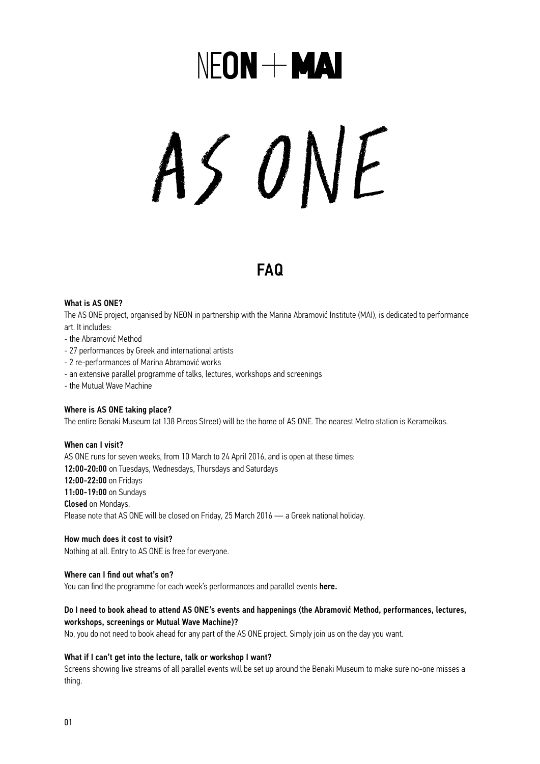## NFON + MAI

# AS ONE

### FAQ

#### What is AS ONE?

The AS ONE project, organised by NEON in partnership with the Marina Abramović Institute (MAI), is dedicated to performance art. It includes:

- the Abramović Method
- 27 performances by Greek and international artists
- 2 re-performances of Marina Abramović works
- an extensive parallel programme of talks, lectures, workshops and screenings
- the Mutual Wave Machine

#### Where is AS ONE taking place?

The entire Benaki Museum (at 138 Pireos Street) will be the home of AS ONE*.* The nearest Metro station is Kerameikos.

#### When can I visit?

AS ONE runs for seven weeks, from 10 March to 24 April 2016, and is open at these times: 12:00-20:00 on Tuesdays, Wednesdays, Thursdays and Saturdays 12:00-22:00 on Fridays 11:00- 19:00 on Sundays Closed on Mondays. Please note that AS ONE will be closed on Friday, 25 March 2016 — a Greek national holiday.

How much does it cost to visit? Nothing at all. Entry to AS ONE is free for everyone.

#### Where can I find out what's on?

You can find the programme for each week's performances and parallel events [here.](http://neon.org.gr/en/)

#### Do I need to book ahead to attend AS ONE*'*s events and happenings (the Abramović Method, performances, lectures, workshops, screenings or Mutual Wave Machine)?

No, you do not need to book ahead for any part of the AS ONE project. Simply join us on the day you want.

#### What if I can't get into the lecture, talk or workshop I want?

Screens showing live streams of all parallel events will be set up around the Benaki Museum to make sure no-one misses a thing.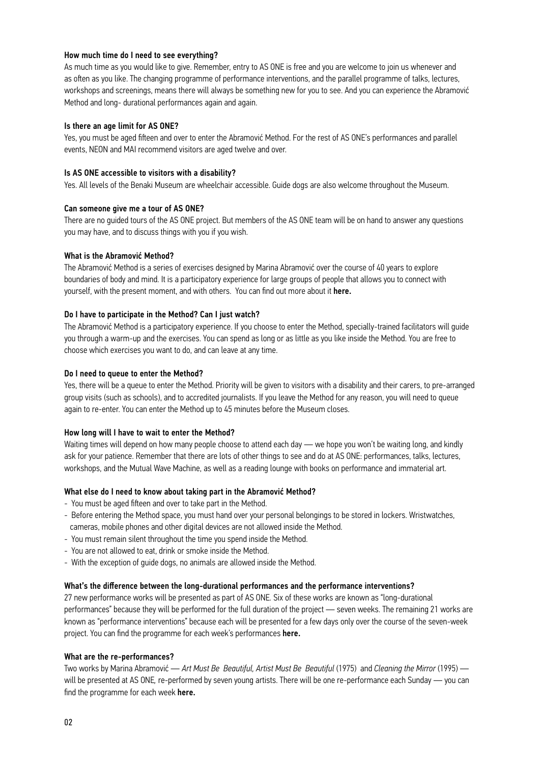#### How much time do I need to see everything?

As much time as you would like to give. Remember, entry to AS ONE is free and you are welcome to join us whenever and as often as you like. The changing programme of performance interventions, and the parallel programme of talks, lectures, workshops and screenings, means there will always be something new for you to see. And you can experience the Abramović Method and long- durational performances again and again.

#### Is there an age limit for AS ONE?

Yes, you must be aged fifteen and over to enter the Abramović Method. For the rest of AS ONE's performances and parallel events, NEON and MAI recommend visitors are aged twelve and over.

#### Is AS ONE accessible to visitors with a disability?

Yes. All levels of the Benaki Museum are wheelchair accessible. Guide dogs are also welcome throughout the Museum.

#### Can someone give me a tour of AS ONE?

There are no guided tours of the AS ONE project. But members of the AS ONE team will be on hand to answer any questions you may have, and to discuss things with you if you wish.

#### What is the Abramović Method?

The Abramović Method is a series of exercises designed by Marina Abramović over the course of 40 years to explore boundaries of body and mind. It is a participatory experience for large groups of people that allows you to connect with yourself, with the present moment, and with others. You can find out more about it [here.](http://neon.org.gr/en/exhibition/abramovic-method-as-one-en/) 

#### Do I have to participate in the Method? Can I just watch?

The Abramović Method is a participatory experience. If you choose to enter the Method, specially-trained facilitators will guide you through a warm-up and the exercises. You can spend as long or as little as you like inside the Method. You are free to choose which exercises you want to do, and can leave at any time.

#### Do I need to queue to enter the Method?

Yes, there will be a queue to enter the Method. Priority will be given to visitors with a disability and their carers, to pre-arranged group visits (such as schools), and to accredited journalists. If you leave the Method for any reason, you will need to queue again to re-enter. You can enter the Method up to 45 minutes before the Museum closes.

#### How long will I have to wait to enter the Method?

Waiting times will depend on how many people choose to attend each day — we hope you won't be waiting long, and kindly ask for your patience. Remember that there are lots of other things to see and do at AS ONE: performances, talks, lectures, workshops, and the Mutual Wave Machine, as well as a reading lounge with books on performance and immaterial art.

#### What else do I need to know about taking part in the Abramović Method?

- You must be aged fifteen and over to take part in the Method.
- Before entering the Method space, you must hand over your personal belongings to be stored in lockers. Wristwatches, cameras, mobile phones and other digital devices are not allowed inside the Method.
- You must remain silent throughout the time you spend inside the Method.
- You are not allowed to eat, drink or smoke inside the Method.
- With the exception of guide dogs, no animals are allowed inside the Method.

#### What's the difference between the long-durational performances and the performance interventions?

27 new performance works will be presented as part of AS ONE*.* Six of these works are known as "long-durational performances" because they will be performed for the full duration of the project — seven weeks. The remaining 21 works are known as "performance interventions" because each will be presented for a few days only over the course of the seven-week project. You can find the programme for each week's performances [here.](http://neon.org.gr/en/) 

#### What are the re-performances?

Two works by Marina Abramović — *Art Must Be Beautiful, Artist Must Be Beautiful* (1975) and *Cleaning the Mirror* (1995) will be presented at AS ONE*,* re-performed by seven young artists. There will be one re-performance each Sunday — you can find the programme for each week [here.](http://neon.org.gr/en/event/re-performance-as-one/)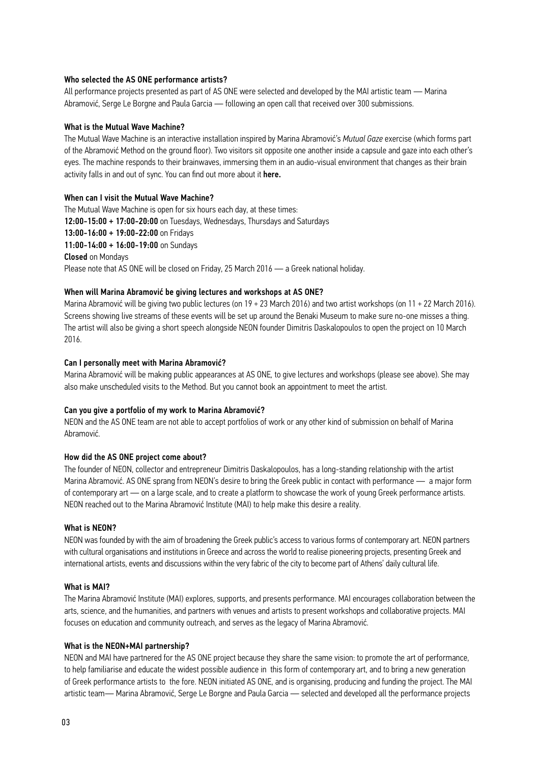#### Who selected the AS ONE performance artists?

All performance projects presented as part of AS ONE were selected and developed by the MAI artistic team — Marina Abramović, Serge Le Borgne and Paula Garcia — following an open call that received over 300 submissions.

#### What is the Mutual Wave Machine?

The Mutual Wave Machine is an interactive installation inspired by Marina Abramović's *Mutual Gaze* exercise (which forms part of the Abramović Method on the ground floor). Two visitors sit opposite one another inside a capsule and gaze into each other's eyes. The machine responds to their brainwaves, immersing them in an audio-visual environment that changes as their brain activity falls in and out of sync. You can find out more about it [here.](http://neon.org.gr/en/exhibition/mutual-wave-machine/)

#### When can I visit the Mutual Wave Machine?

The Mutual Wave Machine is open for six hours each day, at these times: 12:00- 15:00 + 17:00- 20:00 on Tuesdays, Wednesdays, Thursdays and Saturdays 13:00- 16:00 + 19:00- 22:00 on Fridays 11:00- 14:00 + 16:00- 19:00 on Sundays Closed on Mondays Please note that AS ONE will be closed on Friday, 25 March 2016 — a Greek national holiday.

#### When will Marina Abramović be giving lectures and workshops at AS ONE?

Marina Abramović will be giving two public lectures (on 19 + 23 March 2016) and two artist workshops (on 11 + 22 March 2016). Screens showing live streams of these events will be set up around the Benaki Museum to make sure no-one misses a thing. The artist will also be giving a short speech alongside NEON founder Dimitris Daskalopoulos to open the project on 10 March 2016.

#### Can I personally meet with Marina Abramović?

Marina Abramović will be making public appearances at AS ONE*,* to give lectures and workshops (please see above). She may also make unscheduled visits to the Method. But you cannot book an appointment to meet the artist.

#### Can you give a portfolio of my work to Marina Abramović?

NEON and the AS ONE team are not able to accept portfolios of work or any other kind of submission on behalf of Marina Abramović.

#### How did the AS ONE project come about?

The founder of NEON, collector and entrepreneur Dimitris Daskalopoulos, has a long-standing relationship with the artist Marina Abramović. AS ONE sprang from NEON's desire to bring the Greek public in contact with performance — a major form of contemporary art — on a large scale, and to create a platform to showcase the work of young Greek performance artists. NEON reached out to the Marina Abramović Institute (MAI) to help make this desire a reality.

#### What is NEON?

NEON was founded by with the aim of broadening the Greek public's access to various forms of contemporary art. NEON partners with cultural organisations and institutions in Greece and across the world to realise pioneering projects, presenting Greek and international artists, events and discussions within the very fabric of the city to become part of Athens' daily cultural life.

#### What is MAI?

The Marina Abramović Institute (MAI) explores, supports, and presents performance. MAI encourages collaboration between the arts, science, and the humanities, and partners with venues and artists to present workshops and collaborative projects. MAI focuses on education and community outreach, and serves as the legacy of Marina Abramović.

#### What is the NEON+MAI partnership?

NEON and MAI have partnered for the AS ONE project because they share the same vision: to promote the art of performance, to help familiarise and educate the widest possible audience in this form of contemporary art, and to bring a new generation of Greek performance artists to the fore. NEON initiated AS ONE, and is organising, producing and funding the project. The MAI artistic team— Marina Abramović, Serge Le Borgne and Paula Garcia — selected and developed all the performance projects